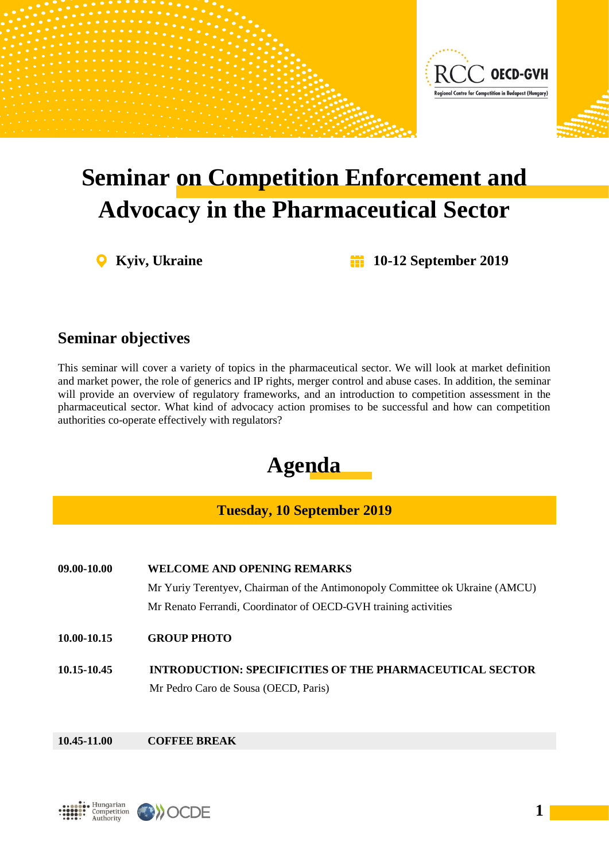

# **Seminar on Competition Enforcement and Advocacy in the Pharmaceutical Sector**

**Kyiv, Ukraine 10-12 September 2019**

## **Seminar objectives**

This seminar will cover a variety of topics in the pharmaceutical sector. We will look at market definition and market power, the role of generics and IP rights, merger control and abuse cases. In addition, the seminar will provide an overview of regulatory frameworks, and an introduction to competition assessment in the pharmaceutical sector. What kind of advocacy action promises to be successful and how can competition authorities co-operate effectively with regulators?



## **Tuesday, 10 September 2019**

**09.00-10.00 WELCOME AND OPENING REMARKS** Mr Yuriy Terentyev, Chairman of the Antimonopoly Committee ok Ukraine (AMCU) Mr Renato Ferrandi, Coordinator of OECD-GVH training activities

- **10.00-10.15 GROUP PHOTO**
- **10.15-10.45 INTRODUCTION: SPECIFICITIES OF THE PHARMACEUTICAL SECTOR** Mr Pedro Caro de Sousa (OECD, Paris)

### **10.45-11.00 COFFEE BREAK**



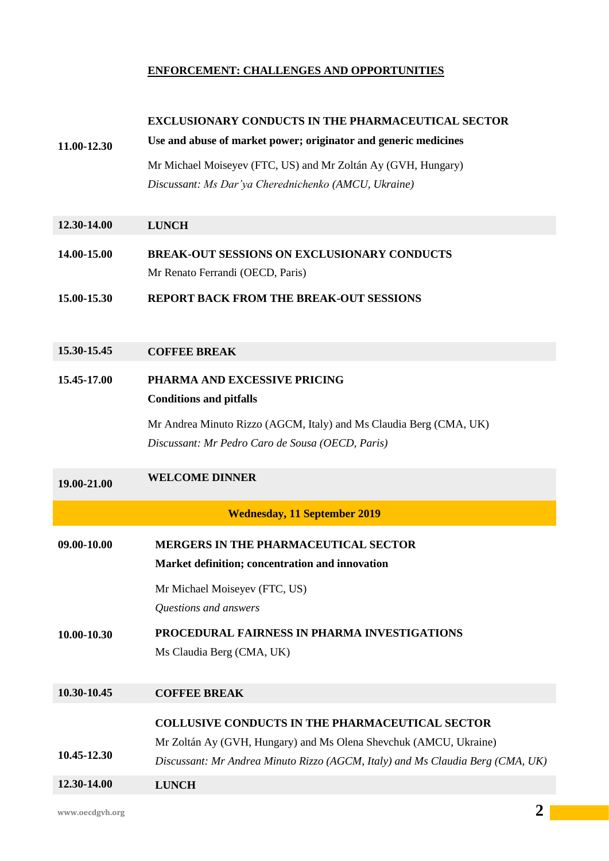#### **ENFORCEMENT: CHALLENGES AND OPPORTUNITIES**

|             | <b>EXCLUSIONARY CONDUCTS IN THE PHARMACEUTICAL SECTOR</b>                      |
|-------------|--------------------------------------------------------------------------------|
| 11.00-12.30 | Use and abuse of market power; originator and generic medicines                |
|             | Mr Michael Moiseyev (FTC, US) and Mr Zoltán Ay (GVH, Hungary)                  |
|             | Discussant: Ms Dar'ya Cherednichenko (AMCU, Ukraine)                           |
|             |                                                                                |
| 12.30-14.00 | <b>LUNCH</b>                                                                   |
| 14.00-15.00 | <b>BREAK-OUT SESSIONS ON EXCLUSIONARY CONDUCTS</b>                             |
|             | Mr Renato Ferrandi (OECD, Paris)                                               |
| 15.00-15.30 | <b>REPORT BACK FROM THE BREAK-OUT SESSIONS</b>                                 |
|             |                                                                                |
| 15.30-15.45 |                                                                                |
|             | <b>COFFEE BREAK</b>                                                            |
| 15.45-17.00 | PHARMA AND EXCESSIVE PRICING                                                   |
|             | <b>Conditions and pitfalls</b>                                                 |
|             | Mr Andrea Minuto Rizzo (AGCM, Italy) and Ms Claudia Berg (CMA, UK)             |
|             | Discussant: Mr Pedro Caro de Sousa (OECD, Paris)                               |
| 19.00-21.00 | <b>WELCOME DINNER</b>                                                          |
|             |                                                                                |
|             | <b>Wednesday, 11 September 2019</b>                                            |
| 09.00-10.00 | <b>MERGERS IN THE PHARMACEUTICAL SECTOR</b>                                    |
|             | Market definition; concentration and innovation                                |
|             | Mr Michael Moiseyev (FTC, US)                                                  |
|             | Questions and answers                                                          |
| 10.00-10.30 | PROCEDURAL FAIRNESS IN PHARMA INVESTIGATIONS                                   |
|             | Ms Claudia Berg (CMA, UK)                                                      |
|             |                                                                                |
| 10.30-10.45 | <b>COFFEE BREAK</b>                                                            |
|             | <b>COLLUSIVE CONDUCTS IN THE PHARMACEUTICAL SECTOR</b>                         |
|             | Mr Zoltán Ay (GVH, Hungary) and Ms Olena Shevchuk (AMCU, Ukraine)              |
| 10.45-12.30 | Discussant: Mr Andrea Minuto Rizzo (AGCM, Italy) and Ms Claudia Berg (CMA, UK) |
| 12.30-14.00 | <b>LUNCH</b>                                                                   |